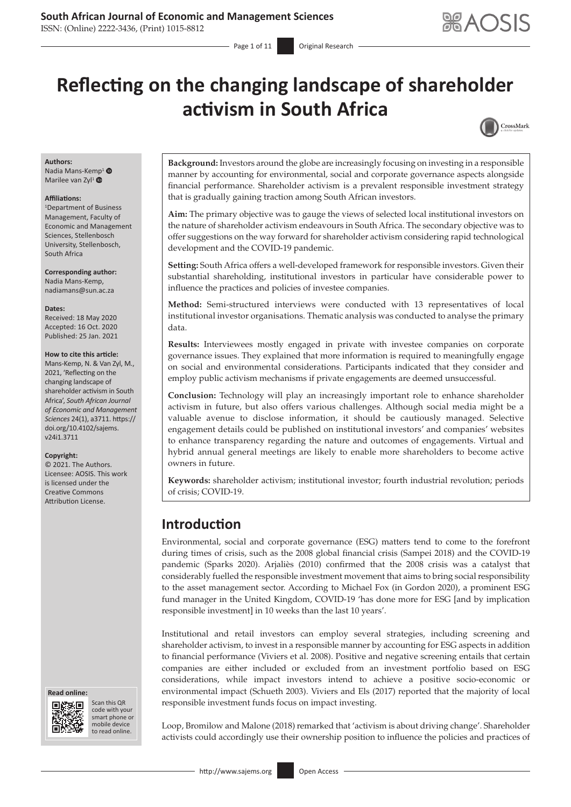**ABAOSIS** 

# **Reflecting on the changing landscape of shareholder activism in South Africa**

 $-$  Page 1 of 11 Original Research



#### **Authors:**

Nadia Mans-Kemp<sup>1</sup> <sup>O</sup> Marilee van Zyl<sup>[1](https://orcid.org/0000-0002-0716-9728)</sup> ®

#### **Affiliations:**

1 Department of Business Management, Faculty of Economic and Management Sciences, Stellenbosch University, Stellenbosch, South Africa

**Corresponding author:** Nadia Mans-Kemp, [nadiamans@sun.ac.za](mailto:nadiamans@sun.ac.za)

#### **Dates:**

Received: 18 May 2020 Accepted: 16 Oct. 2020 Published: 25 Jan. 2021

#### **How to cite this article:**

Mans-Kemp, N. & Van Zyl, M., 2021, 'Reflecting on the changing landscape of shareholder activism in South Africa', *South African Journal of Economic and Management Sciences* 24(1), a3711. [https://](https://doi.org/10.4102/sajems.v24i1.3711) [doi.org/10.4102/sajems.](https://doi.org/10.4102/sajems.v24i1.3711) [v24i1.3711](https://doi.org/10.4102/sajems.v24i1.3711)

#### **Copyright:**

© 2021. The Authors. Licensee: AOSIS. This work is licensed under the Creative Commons Attribution License.





Scan this QR code with your Scan this QR<br>code with your<br>smart phone or<br>mobile device mobile device to read online. to read online.

**Background:** Investors around the globe are increasingly focusing on investing in a responsible manner by accounting for environmental, social and corporate governance aspects alongside financial performance. Shareholder activism is a prevalent responsible investment strategy that is gradually gaining traction among South African investors.

**Aim:** The primary objective was to gauge the views of selected local institutional investors on the nature of shareholder activism endeavours in South Africa. The secondary objective was to offer suggestions on the way forward for shareholder activism considering rapid technological development and the COVID-19 pandemic.

**Setting:** South Africa offers a well-developed framework for responsible investors. Given their substantial shareholding, institutional investors in particular have considerable power to influence the practices and policies of investee companies.

**Method:** Semi-structured interviews were conducted with 13 representatives of local institutional investor organisations. Thematic analysis was conducted to analyse the primary data.

**Results:** Interviewees mostly engaged in private with investee companies on corporate governance issues. They explained that more information is required to meaningfully engage on social and environmental considerations. Participants indicated that they consider and employ public activism mechanisms if private engagements are deemed unsuccessful.

**Conclusion:** Technology will play an increasingly important role to enhance shareholder activism in future, but also offers various challenges. Although social media might be a valuable avenue to disclose information, it should be cautiously managed. Selective engagement details could be published on institutional investors' and companies' websites to enhance transparency regarding the nature and outcomes of engagements. Virtual and hybrid annual general meetings are likely to enable more shareholders to become active owners in future.

**Keywords:** shareholder activism; institutional investor; fourth industrial revolution; periods of crisis; COVID-19.

# **Introduction**

Environmental, social and corporate governance (ESG) matters tend to come to the forefront during times of crisis, such as the 2008 global financial crisis (Sampei 2018) and the COVID-19 pandemic (Sparks 2020). Arjaliès (2010) confirmed that the 2008 crisis was a catalyst that considerably fuelled the responsible investment movement that aims to bring social responsibility to the asset management sector. According to Michael Fox (in Gordon 2020), a prominent ESG fund manager in the United Kingdom, COVID-19 'has done more for ESG [and by implication responsible investment] in 10 weeks than the last 10 years'.

Institutional and retail investors can employ several strategies, including screening and shareholder activism, to invest in a responsible manner by accounting for ESG aspects in addition to financial performance (Viviers et al. 2008). Positive and negative screening entails that certain companies are either included or excluded from an investment portfolio based on ESG considerations, while impact investors intend to achieve a positive socio-economic or environmental impact (Schueth 2003). Viviers and Els (2017) reported that the majority of local responsible investment funds focus on impact investing.

Loop, Bromilow and Malone (2018) remarked that 'activism is about driving change'. Shareholder activists could accordingly use their ownership position to influence the policies and practices of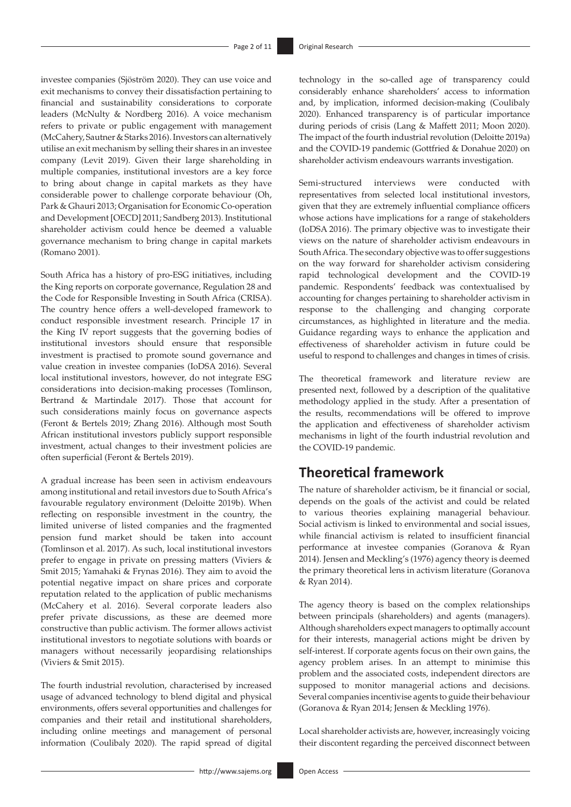investee companies (Sjöström 2020). They can use voice and exit mechanisms to convey their dissatisfaction pertaining to financial and sustainability considerations to corporate leaders (McNulty & Nordberg 2016). A voice mechanism refers to private or public engagement with management (McCahery, Sautner & Starks 2016). Investors can alternatively utilise an exit mechanism by selling their shares in an investee company (Levit 2019). Given their large shareholding in multiple companies, institutional investors are a key force to bring about change in capital markets as they have considerable power to challenge corporate behaviour (Oh, Park & Ghauri 2013; Organisation for Economic Co-operation and Development [OECD] 2011; Sandberg 2013). Institutional shareholder activism could hence be deemed a valuable governance mechanism to bring change in capital markets (Romano 2001).

South Africa has a history of pro-ESG initiatives, including the King reports on corporate governance, Regulation 28 and the Code for Responsible Investing in South Africa (CRISA). The country hence offers a well-developed framework to conduct responsible investment research. Principle 17 in the King IV report suggests that the governing bodies of institutional investors should ensure that responsible investment is practised to promote sound governance and value creation in investee companies (IoDSA 2016). Several local institutional investors, however, do not integrate ESG considerations into decision-making processes (Tomlinson, Bertrand & Martindale 2017). Those that account for such considerations mainly focus on governance aspects (Feront & Bertels 2019; Zhang 2016). Although most South African institutional investors publicly support responsible investment, actual changes to their investment policies are often superficial (Feront & Bertels 2019).

A gradual increase has been seen in activism endeavours among institutional and retail investors due to South Africa's favourable regulatory environment (Deloitte 2019b). When reflecting on responsible investment in the country, the limited universe of listed companies and the fragmented pension fund market should be taken into account (Tomlinson et al. 2017). As such, local institutional investors prefer to engage in private on pressing matters (Viviers & Smit 2015; Yamahaki & Frynas 2016). They aim to avoid the potential negative impact on share prices and corporate reputation related to the application of public mechanisms (McCahery et al. 2016). Several corporate leaders also prefer private discussions, as these are deemed more constructive than public activism. The former allows activist institutional investors to negotiate solutions with boards or managers without necessarily jeopardising relationships (Viviers & Smit 2015).

The fourth industrial revolution, characterised by increased usage of advanced technology to blend digital and physical environments, offers several opportunities and challenges for companies and their retail and institutional shareholders, including online meetings and management of personal information (Coulibaly 2020). The rapid spread of digital technology in the so-called age of transparency could considerably enhance shareholders' access to information and, by implication, informed decision-making (Coulibaly 2020). Enhanced transparency is of particular importance during periods of crisis (Lang & Maffett 2011; Moon 2020). The impact of the fourth industrial revolution (Deloitte 2019a) and the COVID-19 pandemic (Gottfried & Donahue 2020) on shareholder activism endeavours warrants investigation.

Semi-structured interviews were conducted with representatives from selected local institutional investors, given that they are extremely influential compliance officers whose actions have implications for a range of stakeholders (IoDSA 2016). The primary objective was to investigate their views on the nature of shareholder activism endeavours in South Africa. The secondary objective was to offer suggestions on the way forward for shareholder activism considering rapid technological development and the COVID-19 pandemic. Respondents' feedback was contextualised by accounting for changes pertaining to shareholder activism in response to the challenging and changing corporate circumstances, as highlighted in literature and the media. Guidance regarding ways to enhance the application and effectiveness of shareholder activism in future could be useful to respond to challenges and changes in times of crisis.

The theoretical framework and literature review are presented next, followed by a description of the qualitative methodology applied in the study. After a presentation of the results, recommendations will be offered to improve the application and effectiveness of shareholder activism mechanisms in light of the fourth industrial revolution and the COVID-19 pandemic.

# **Theoretical framework**

The nature of shareholder activism, be it financial or social, depends on the goals of the activist and could be related to various theories explaining managerial behaviour. Social activism is linked to environmental and social issues, while financial activism is related to insufficient financial performance at investee companies (Goranova & Ryan 2014). Jensen and Meckling's (1976) agency theory is deemed the primary theoretical lens in activism literature (Goranova & Ryan 2014).

The agency theory is based on the complex relationships between principals (shareholders) and agents (managers). Although shareholders expect managers to optimally account for their interests, managerial actions might be driven by self-interest. If corporate agents focus on their own gains, the agency problem arises. In an attempt to minimise this problem and the associated costs, independent directors are supposed to monitor managerial actions and decisions. Several companies incentivise agents to guide their behaviour (Goranova & Ryan 2014; Jensen & Meckling 1976).

Local shareholder activists are, however, increasingly voicing their discontent regarding the perceived disconnect between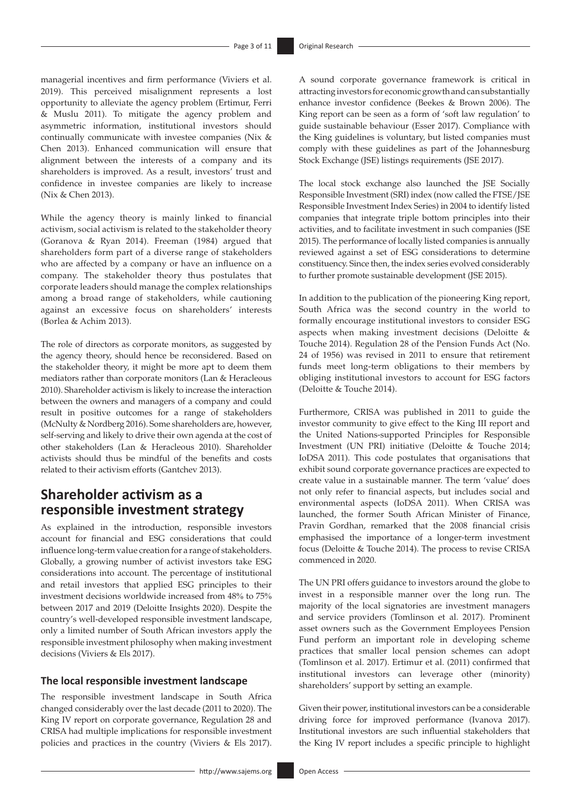managerial incentives and firm performance (Viviers et al. 2019). This perceived misalignment represents a lost opportunity to alleviate the agency problem (Ertimur, Ferri & Muslu 2011). To mitigate the agency problem and asymmetric information, institutional investors should continually communicate with investee companies (Nix & Chen 2013). Enhanced communication will ensure that alignment between the interests of a company and its shareholders is improved. As a result, investors' trust and confidence in investee companies are likely to increase (Nix & Chen 2013).

While the agency theory is mainly linked to financial activism, social activism is related to the stakeholder theory (Goranova & Ryan 2014). Freeman (1984) argued that shareholders form part of a diverse range of stakeholders who are affected by a company or have an influence on a company. The stakeholder theory thus postulates that corporate leaders should manage the complex relationships among a broad range of stakeholders, while cautioning against an excessive focus on shareholders' interests (Borlea & Achim 2013).

The role of directors as corporate monitors, as suggested by the agency theory, should hence be reconsidered. Based on the stakeholder theory, it might be more apt to deem them mediators rather than corporate monitors (Lan & Heracleous 2010). Shareholder activism is likely to increase the interaction between the owners and managers of a company and could result in positive outcomes for a range of stakeholders (McNulty & Nordberg 2016). Some shareholders are, however, self-serving and likely to drive their own agenda at the cost of other stakeholders (Lan & Heracleous 2010). Shareholder activists should thus be mindful of the benefits and costs related to their activism efforts (Gantchev 2013).

# **Shareholder activism as a responsible investment strategy**

As explained in the introduction, responsible investors account for financial and ESG considerations that could influence long-term value creation for a range of stakeholders. Globally, a growing number of activist investors take ESG considerations into account. The percentage of institutional and retail investors that applied ESG principles to their investment decisions worldwide increased from 48% to 75% between 2017 and 2019 (Deloitte Insights 2020). Despite the country's well-developed responsible investment landscape, only a limited number of South African investors apply the responsible investment philosophy when making investment decisions (Viviers & Els 2017).

### **The local responsible investment landscape**

The responsible investment landscape in South Africa changed considerably over the last decade (2011 to 2020). The King IV report on corporate governance, Regulation 28 and CRISA had multiple implications for responsible investment policies and practices in the country (Viviers & Els 2017).

A sound corporate governance framework is critical in attracting investors for economic growth and can substantially enhance investor confidence (Beekes & Brown 2006). The King report can be seen as a form of 'soft law regulation' to guide sustainable behaviour (Esser 2017). Compliance with the King guidelines is voluntary, but listed companies must comply with these guidelines as part of the Johannesburg Stock Exchange (JSE) listings requirements (JSE 2017).

The local stock exchange also launched the JSE Socially Responsible Investment (SRI) index (now called the FTSE/JSE Responsible Investment Index Series) in 2004 to identify listed companies that integrate triple bottom principles into their activities, and to facilitate investment in such companies (JSE 2015). The performance of locally listed companies is annually reviewed against a set of ESG considerations to determine constituency. Since then, the index series evolved considerably to further promote sustainable development (JSE 2015).

In addition to the publication of the pioneering King report, South Africa was the second country in the world to formally encourage institutional investors to consider ESG aspects when making investment decisions (Deloitte & Touche 2014). Regulation 28 of the Pension Funds Act (No. 24 of 1956) was revised in 2011 to ensure that retirement funds meet long-term obligations to their members by obliging institutional investors to account for ESG factors (Deloitte & Touche 2014).

Furthermore, CRISA was published in 2011 to guide the investor community to give effect to the King III report and the United Nations-supported Principles for Responsible Investment (UN PRI) initiative (Deloitte & Touche 2014; IoDSA 2011). This code postulates that organisations that exhibit sound corporate governance practices are expected to create value in a sustainable manner. The term 'value' does not only refer to financial aspects, but includes social and environmental aspects (IoDSA 2011). When CRISA was launched, the former South African Minister of Finance, Pravin Gordhan, remarked that the 2008 financial crisis emphasised the importance of a longer-term investment focus (Deloitte & Touche 2014). The process to revise CRISA commenced in 2020.

The UN PRI offers guidance to investors around the globe to invest in a responsible manner over the long run. The majority of the local signatories are investment managers and service providers (Tomlinson et al. 2017). Prominent asset owners such as the Government Employees Pension Fund perform an important role in developing scheme practices that smaller local pension schemes can adopt (Tomlinson et al. 2017). Ertimur et al. (2011) confirmed that institutional investors can leverage other (minority) shareholders' support by setting an example.

Given their power, institutional investors can be a considerable driving force for improved performance (Ivanova 2017). Institutional investors are such influential stakeholders that the King IV report includes a specific principle to highlight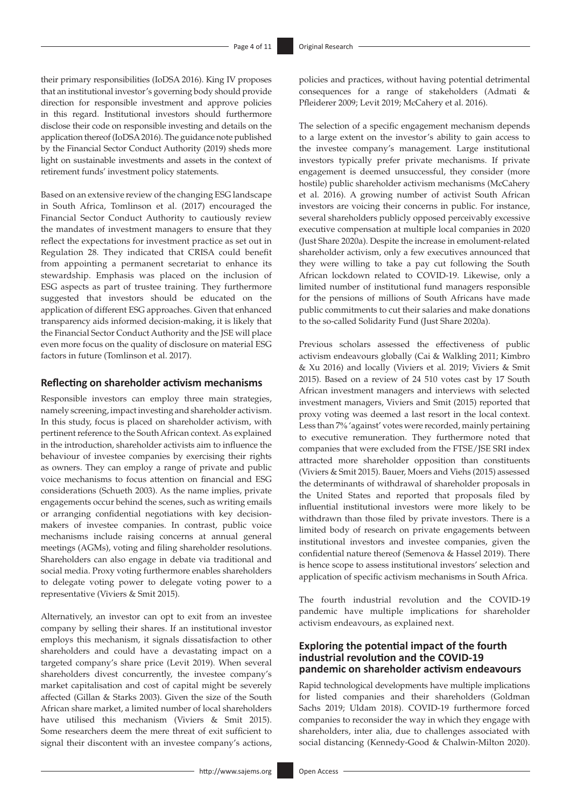their primary responsibilities (IoDSA 2016). King IV proposes that an institutional investor's governing body should provide direction for responsible investment and approve policies in this regard. Institutional investors should furthermore disclose their code on responsible investing and details on the application thereof (IoDSA 2016). The guidance note published by the Financial Sector Conduct Authority (2019) sheds more light on sustainable investments and assets in the context of retirement funds' investment policy statements.

Based on an extensive review of the changing ESG landscape in South Africa, Tomlinson et al. (2017) encouraged the Financial Sector Conduct Authority to cautiously review the mandates of investment managers to ensure that they reflect the expectations for investment practice as set out in Regulation 28. They indicated that CRISA could benefit from appointing a permanent secretariat to enhance its stewardship. Emphasis was placed on the inclusion of ESG aspects as part of trustee training. They furthermore suggested that investors should be educated on the application of different ESG approaches. Given that enhanced transparency aids informed decision-making, it is likely that the Financial Sector Conduct Authority and the JSE will place even more focus on the quality of disclosure on material ESG factors in future (Tomlinson et al. 2017).

### **Reflecting on shareholder activism mechanisms**

Responsible investors can employ three main strategies, namely screening, impact investing and shareholder activism. In this study, focus is placed on shareholder activism, with pertinent reference to the South African context. As explained in the introduction, shareholder activists aim to influence the behaviour of investee companies by exercising their rights as owners. They can employ a range of private and public voice mechanisms to focus attention on financial and ESG considerations (Schueth 2003). As the name implies, private engagements occur behind the scenes, such as writing emails or arranging confidential negotiations with key decisionmakers of investee companies. In contrast, public voice mechanisms include raising concerns at annual general meetings (AGMs), voting and filing shareholder resolutions. Shareholders can also engage in debate via traditional and social media. Proxy voting furthermore enables shareholders to delegate voting power to delegate voting power to a representative (Viviers & Smit 2015).

Alternatively, an investor can opt to exit from an investee company by selling their shares. If an institutional investor employs this mechanism, it signals dissatisfaction to other shareholders and could have a devastating impact on a targeted company's share price (Levit 2019). When several shareholders divest concurrently, the investee company's market capitalisation and cost of capital might be severely affected (Gillan & Starks 2003). Given the size of the South African share market, a limited number of local shareholders have utilised this mechanism (Viviers & Smit 2015). Some researchers deem the mere threat of exit sufficient to signal their discontent with an investee company's actions,

policies and practices, without having potential detrimental consequences for a range of stakeholders (Admati & Pfleiderer 2009; Levit 2019; McCahery et al. 2016).

The selection of a specific engagement mechanism depends to a large extent on the investor's ability to gain access to the investee company's management. Large institutional investors typically prefer private mechanisms. If private engagement is deemed unsuccessful, they consider (more hostile) public shareholder activism mechanisms (McCahery et al. 2016). A growing number of activist South African investors are voicing their concerns in public. For instance, several shareholders publicly opposed perceivably excessive executive compensation at multiple local companies in 2020 (Just Share 2020a). Despite the increase in emolument-related shareholder activism, only a few executives announced that they were willing to take a pay cut following the South African lockdown related to COVID-19. Likewise, only a limited number of institutional fund managers responsible for the pensions of millions of South Africans have made public commitments to cut their salaries and make donations to the so-called Solidarity Fund (Just Share 2020a).

Previous scholars assessed the effectiveness of public activism endeavours globally (Cai & Walkling 2011; Kimbro & Xu 2016) and locally (Viviers et al. 2019; Viviers & Smit 2015). Based on a review of 24 510 votes cast by 17 South African investment managers and interviews with selected investment managers, Viviers and Smit (2015) reported that proxy voting was deemed a last resort in the local context. Less than 7% 'against' votes were recorded, mainly pertaining to executive remuneration. They furthermore noted that companies that were excluded from the FTSE/JSE SRI index attracted more shareholder opposition than constituents (Viviers & Smit 2015). Bauer, Moers and Viehs (2015) assessed the determinants of withdrawal of shareholder proposals in the United States and reported that proposals filed by influential institutional investors were more likely to be withdrawn than those filed by private investors. There is a limited body of research on private engagements between institutional investors and investee companies, given the confidential nature thereof (Semenova & Hassel 2019). There is hence scope to assess institutional investors' selection and application of specific activism mechanisms in South Africa.

The fourth industrial revolution and the COVID-19 pandemic have multiple implications for shareholder activism endeavours, as explained next.

### **Exploring the potential impact of the fourth industrial revolution and the COVID-19 pandemic on shareholder activism endeavours**

Rapid technological developments have multiple implications for listed companies and their shareholders (Goldman Sachs 2019; Uldam 2018). COVID-19 furthermore forced companies to reconsider the way in which they engage with shareholders, inter alia, due to challenges associated with social distancing (Kennedy-Good & Chalwin-Milton 2020).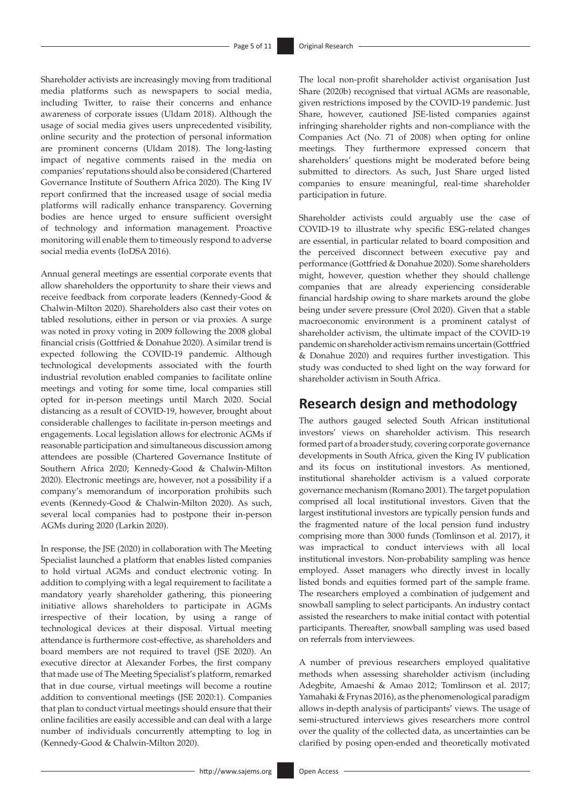Shareholder activists are increasingly moving from traditional media platforms such as newspapers to social media, including Twitter, to raise their concerns and enhance awareness of corporate issues (Uldam 2018). Although the usage of social media gives users unprecedented visibility, online security and the protection of personal information are prominent concerns (Uldam 2018). The long-lasting impact of negative comments raised in the media on companies' reputations should also be considered (Chartered Governance Institute of Southern Africa 2020). The King IV report confirmed that the increased usage of social media platforms will radically enhance transparency. Governing bodies are hence urged to ensure sufficient oversight of technology and information management. Proactive monitoring will enable them to timeously respond to adverse social media events (IoDSA 2016).

Annual general meetings are essential corporate events that allow shareholders the opportunity to share their views and receive feedback from corporate leaders (Kennedy-Good & Chalwin-Milton 2020). Shareholders also cast their votes on tabled resolutions, either in person or via proxies. A surge was noted in proxy voting in 2009 following the 2008 global financial crisis (Gottfried & Donahue 2020). A similar trend is expected following the COVID-19 pandemic. Although technological developments associated with the fourth industrial revolution enabled companies to facilitate online meetings and voting for some time, local companies still opted for in-person meetings until March 2020. Social distancing as a result of COVID-19, however, brought about considerable challenges to facilitate in-person meetings and engagements. Local legislation allows for electronic AGMs if reasonable participation and simultaneous discussion among attendees are possible (Chartered Governance Institute of Southern Africa 2020; Kennedy-Good & Chalwin-Milton 2020). Electronic meetings are, however, not a possibility if a company's memorandum of incorporation prohibits such events (Kennedy-Good & Chalwin-Milton 2020). As such, several local companies had to postpone their in-person AGMs during 2020 (Larkin 2020).

In response, the JSE (2020) in collaboration with The Meeting Specialist launched a platform that enables listed companies to hold virtual AGMs and conduct electronic voting. In addition to complying with a legal requirement to facilitate a mandatory yearly shareholder gathering, this pioneering initiative allows shareholders to participate in AGMs irrespective of their location, by using a range of technological devices at their disposal. Virtual meeting attendance is furthermore cost-effective, as shareholders and board members are not required to travel (JSE 2020). An executive director at Alexander Forbes, the first company that made use of The Meeting Specialist's platform, remarked that in due course, virtual meetings will become a routine addition to conventional meetings (JSE 2020:1). Companies that plan to conduct virtual meetings should ensure that their online facilities are easily accessible and can deal with a large number of individuals concurrently attempting to log in (Kennedy-Good & Chalwin-Milton 2020).

The local non-profit shareholder activist organisation Just Share (2020b) recognised that virtual AGMs are reasonable, given restrictions imposed by the COVID-19 pandemic. Just Share, however, cautioned JSE-listed companies against infringing shareholder rights and non-compliance with the Companies Act (No. 71 of 2008) when opting for online meetings. They furthermore expressed concern that shareholders' questions might be moderated before being submitted to directors. As such, Just Share urged listed companies to ensure meaningful, real-time shareholder participation in future.

Shareholder activists could arguably use the case of COVID-19 to illustrate why specific ESG-related changes are essential, in particular related to board composition and the perceived disconnect between executive pay and performance (Gottfried & Donahue 2020). Some shareholders might, however, question whether they should challenge companies that are already experiencing considerable financial hardship owing to share markets around the globe being under severe pressure (Orol 2020). Given that a stable macroeconomic environment is a prominent catalyst of shareholder activism, the ultimate impact of the COVID-19 pandemic on shareholder activism remains uncertain (Gottfried & Donahue 2020) and requires further investigation. This study was conducted to shed light on the way forward for shareholder activism in South Africa.

# **Research design and methodology**

The authors gauged selected South African institutional investors' views on shareholder activism. This research formed part of a broader study, covering corporate governance developments in South Africa, given the King IV publication and its focus on institutional investors. As mentioned, institutional shareholder activism is a valued corporate governance mechanism (Romano 2001). The target population comprised all local institutional investors. Given that the largest institutional investors are typically pension funds and the fragmented nature of the local pension fund industry comprising more than 3000 funds (Tomlinson et al. 2017), it was impractical to conduct interviews with all local institutional investors. Non-probability sampling was hence employed. Asset managers who directly invest in locally listed bonds and equities formed part of the sample frame. The researchers employed a combination of judgement and snowball sampling to select participants. An industry contact assisted the researchers to make initial contact with potential participants. Thereafter, snowball sampling was used based on referrals from interviewees.

A number of previous researchers employed qualitative methods when assessing shareholder activism (including Adegbite, Amaeshi & Amao 2012; Tomlinson et al. 2017; Yamahaki & Frynas 2016), as the phenomenological paradigm allows in-depth analysis of participants' views. The usage of semi-structured interviews gives researchers more control over the quality of the collected data, as uncertainties can be clarified by posing open-ended and theoretically motivated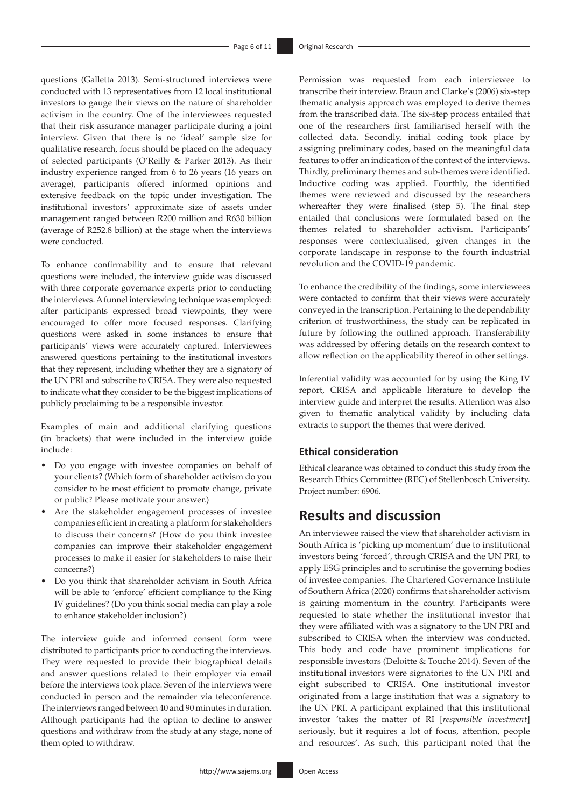questions (Galletta 2013). Semi-structured interviews were conducted with 13 representatives from 12 local institutional investors to gauge their views on the nature of shareholder activism in the country. One of the interviewees requested that their risk assurance manager participate during a joint interview. Given that there is no 'ideal' sample size for qualitative research, focus should be placed on the adequacy of selected participants (O'Reilly & Parker 2013). As their industry experience ranged from 6 to 26 years (16 years on average), participants offered informed opinions and extensive feedback on the topic under investigation. The institutional investors' approximate size of assets under management ranged between R200 million and R630 billion (average of R252.8 billion) at the stage when the interviews were conducted.

To enhance confirmability and to ensure that relevant questions were included, the interview guide was discussed with three corporate governance experts prior to conducting the interviews. A funnel interviewing technique was employed: after participants expressed broad viewpoints, they were encouraged to offer more focused responses. Clarifying questions were asked in some instances to ensure that participants' views were accurately captured. Interviewees answered questions pertaining to the institutional investors that they represent, including whether they are a signatory of the UN PRI and subscribe to CRISA. They were also requested to indicate what they consider to be the biggest implications of publicly proclaiming to be a responsible investor.

Examples of main and additional clarifying questions (in brackets) that were included in the interview guide include:

- Do you engage with investee companies on behalf of your clients? (Which form of shareholder activism do you consider to be most efficient to promote change, private or public? Please motivate your answer.)
- Are the stakeholder engagement processes of investee companies efficient in creating a platform for stakeholders to discuss their concerns? (How do you think investee companies can improve their stakeholder engagement processes to make it easier for stakeholders to raise their concerns?)
- Do you think that shareholder activism in South Africa will be able to 'enforce' efficient compliance to the King IV guidelines? (Do you think social media can play a role to enhance stakeholder inclusion?)

The interview guide and informed consent form were distributed to participants prior to conducting the interviews. They were requested to provide their biographical details and answer questions related to their employer via email before the interviews took place. Seven of the interviews were conducted in person and the remainder via teleconference. The interviews ranged between 40 and 90 minutes in duration. Although participants had the option to decline to answer questions and withdraw from the study at any stage, none of them opted to withdraw.

Permission was requested from each interviewee to transcribe their interview. Braun and Clarke's (2006) six-step thematic analysis approach was employed to derive themes from the transcribed data. The six-step process entailed that one of the researchers first familiarised herself with the collected data. Secondly, initial coding took place by assigning preliminary codes, based on the meaningful data features to offer an indication of the context of the interviews. Thirdly, preliminary themes and sub-themes were identified. Inductive coding was applied. Fourthly, the identified themes were reviewed and discussed by the researchers whereafter they were finalised (step 5). The final step entailed that conclusions were formulated based on the themes related to shareholder activism. Participants' responses were contextualised, given changes in the corporate landscape in response to the fourth industrial revolution and the COVID-19 pandemic.

To enhance the credibility of the findings, some interviewees were contacted to confirm that their views were accurately conveyed in the transcription. Pertaining to the dependability criterion of trustworthiness, the study can be replicated in future by following the outlined approach. Transferability was addressed by offering details on the research context to allow reflection on the applicability thereof in other settings.

Inferential validity was accounted for by using the King IV report, CRISA and applicable literature to develop the interview guide and interpret the results. Attention was also given to thematic analytical validity by including data extracts to support the themes that were derived.

### **Ethical consideration**

Ethical clearance was obtained to conduct this study from the Research Ethics Committee (REC) of Stellenbosch University. Project number: 6906.

# **Results and discussion**

An interviewee raised the view that shareholder activism in South Africa is 'picking up momentum' due to institutional investors being 'forced', through CRISA and the UN PRI, to apply ESG principles and to scrutinise the governing bodies of investee companies. The Chartered Governance Institute of Southern Africa (2020) confirms that shareholder activism is gaining momentum in the country. Participants were requested to state whether the institutional investor that they were affiliated with was a signatory to the UN PRI and subscribed to CRISA when the interview was conducted. This body and code have prominent implications for responsible investors (Deloitte & Touche 2014). Seven of the institutional investors were signatories to the UN PRI and eight subscribed to CRISA. One institutional investor originated from a large institution that was a signatory to the UN PRI. A participant explained that this institutional investor 'takes the matter of RI [*responsible investment*] seriously, but it requires a lot of focus, attention, people and resources'. As such, this participant noted that the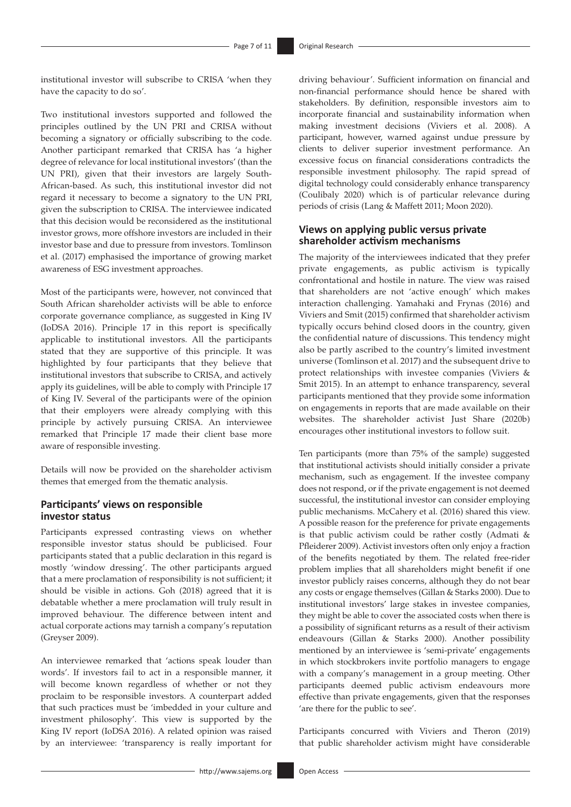institutional investor will subscribe to CRISA 'when they have the capacity to do so'.

Two institutional investors supported and followed the principles outlined by the UN PRI and CRISA without becoming a signatory or officially subscribing to the code. Another participant remarked that CRISA has 'a higher degree of relevance for local institutional investors' (than the UN PRI), given that their investors are largely South-African-based. As such, this institutional investor did not regard it necessary to become a signatory to the UN PRI, given the subscription to CRISA. The interviewee indicated that this decision would be reconsidered as the institutional investor grows, more offshore investors are included in their investor base and due to pressure from investors. Tomlinson et al. (2017) emphasised the importance of growing market awareness of ESG investment approaches.

Most of the participants were, however, not convinced that South African shareholder activists will be able to enforce corporate governance compliance, as suggested in King IV (IoDSA 2016). Principle 17 in this report is specifically applicable to institutional investors. All the participants stated that they are supportive of this principle. It was highlighted by four participants that they believe that institutional investors that subscribe to CRISA, and actively apply its guidelines, will be able to comply with Principle 17 of King IV. Several of the participants were of the opinion that their employers were already complying with this principle by actively pursuing CRISA. An interviewee remarked that Principle 17 made their client base more aware of responsible investing.

Details will now be provided on the shareholder activism themes that emerged from the thematic analysis.

### **Participants' views on responsible investor status**

Participants expressed contrasting views on whether responsible investor status should be publicised. Four participants stated that a public declaration in this regard is mostly 'window dressing'. The other participants argued that a mere proclamation of responsibility is not sufficient; it should be visible in actions. Goh (2018) agreed that it is debatable whether a mere proclamation will truly result in improved behaviour. The difference between intent and actual corporate actions may tarnish a company's reputation (Greyser 2009).

An interviewee remarked that 'actions speak louder than words'. If investors fail to act in a responsible manner, it will become known regardless of whether or not they proclaim to be responsible investors. A counterpart added that such practices must be 'imbedded in your culture and investment philosophy'. This view is supported by the King IV report (IoDSA 2016). A related opinion was raised by an interviewee: 'transparency is really important for

driving behaviour'. Sufficient information on financial and non-financial performance should hence be shared with stakeholders. By definition, responsible investors aim to incorporate financial and sustainability information when making investment decisions (Viviers et al. 2008). A participant, however, warned against undue pressure by clients to deliver superior investment performance. An excessive focus on financial considerations contradicts the responsible investment philosophy. The rapid spread of digital technology could considerably enhance transparency (Coulibaly 2020) which is of particular relevance during periods of crisis (Lang & Maffett 2011; Moon 2020).

### **Views on applying public versus private shareholder activism mechanisms**

The majority of the interviewees indicated that they prefer private engagements, as public activism is typically confrontational and hostile in nature. The view was raised that shareholders are not 'active enough' which makes interaction challenging. Yamahaki and Frynas (2016) and Viviers and Smit (2015) confirmed that shareholder activism typically occurs behind closed doors in the country, given the confidential nature of discussions. This tendency might also be partly ascribed to the country's limited investment universe (Tomlinson et al. 2017) and the subsequent drive to protect relationships with investee companies (Viviers & Smit 2015). In an attempt to enhance transparency, several participants mentioned that they provide some information on engagements in reports that are made available on their websites. The shareholder activist Just Share (2020b) encourages other institutional investors to follow suit.

Ten participants (more than 75% of the sample) suggested that institutional activists should initially consider a private mechanism, such as engagement. If the investee company does not respond, or if the private engagement is not deemed successful, the institutional investor can consider employing public mechanisms. McCahery et al. (2016) shared this view. A possible reason for the preference for private engagements is that public activism could be rather costly (Admati  $\&$ Pfleiderer 2009). Activist investors often only enjoy a fraction of the benefits negotiated by them. The related free-rider problem implies that all shareholders might benefit if one investor publicly raises concerns, although they do not bear any costs or engage themselves (Gillan & Starks 2000). Due to institutional investors' large stakes in investee companies, they might be able to cover the associated costs when there is a possibility of significant returns as a result of their activism endeavours (Gillan & Starks 2000). Another possibility mentioned by an interviewee is 'semi-private' engagements in which stockbrokers invite portfolio managers to engage with a company's management in a group meeting. Other participants deemed public activism endeavours more effective than private engagements, given that the responses 'are there for the public to see'.

Participants concurred with Viviers and Theron (2019) that public shareholder activism might have considerable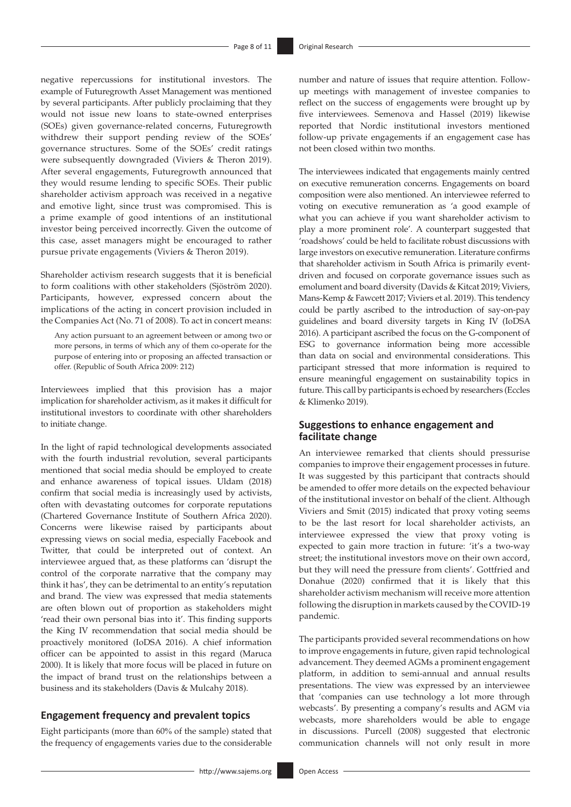negative repercussions for institutional investors. The example of Futuregrowth Asset Management was mentioned by several participants. After publicly proclaiming that they would not issue new loans to state-owned enterprises (SOEs) given governance-related concerns, Futuregrowth withdrew their support pending review of the SOEs' governance structures. Some of the SOEs' credit ratings were subsequently downgraded (Viviers & Theron 2019). After several engagements, Futuregrowth announced that they would resume lending to specific SOEs. Their public shareholder activism approach was received in a negative and emotive light, since trust was compromised. This is a prime example of good intentions of an institutional investor being perceived incorrectly. Given the outcome of this case, asset managers might be encouraged to rather pursue private engagements (Viviers & Theron 2019).

Shareholder activism research suggests that it is beneficial to form coalitions with other stakeholders (Sjöström 2020). Participants, however, expressed concern about the implications of the acting in concert provision included in the Companies Act (No. 71 of 2008). To act in concert means:

Any action pursuant to an agreement between or among two or more persons, in terms of which any of them co-operate for the purpose of entering into or proposing an affected transaction or offer. (Republic of South Africa 2009: 212)

Interviewees implied that this provision has a major implication for shareholder activism, as it makes it difficult for institutional investors to coordinate with other shareholders to initiate change.

In the light of rapid technological developments associated with the fourth industrial revolution, several participants mentioned that social media should be employed to create and enhance awareness of topical issues. Uldam (2018) confirm that social media is increasingly used by activists, often with devastating outcomes for corporate reputations (Chartered Governance Institute of Southern Africa 2020). Concerns were likewise raised by participants about expressing views on social media, especially Facebook and Twitter, that could be interpreted out of context. An interviewee argued that, as these platforms can 'disrupt the control of the corporate narrative that the company may think it has', they can be detrimental to an entity's reputation and brand. The view was expressed that media statements are often blown out of proportion as stakeholders might 'read their own personal bias into it'. This finding supports the King IV recommendation that social media should be proactively monitored (IoDSA 2016). A chief information officer can be appointed to assist in this regard (Maruca 2000). It is likely that more focus will be placed in future on the impact of brand trust on the relationships between a business and its stakeholders (Davis & Mulcahy 2018).

### **Engagement frequency and prevalent topics**

Eight participants (more than 60% of the sample) stated that the frequency of engagements varies due to the considerable number and nature of issues that require attention. Followup meetings with management of investee companies to reflect on the success of engagements were brought up by five interviewees. Semenova and Hassel (2019) likewise reported that Nordic institutional investors mentioned follow-up private engagements if an engagement case has not been closed within two months.

The interviewees indicated that engagements mainly centred on executive remuneration concerns. Engagements on board composition were also mentioned. An interviewee referred to voting on executive remuneration as 'a good example of what you can achieve if you want shareholder activism to play a more prominent role'. A counterpart suggested that 'roadshows' could be held to facilitate robust discussions with large investors on executive remuneration. Literature confirms that shareholder activism in South Africa is primarily eventdriven and focused on corporate governance issues such as emolument and board diversity (Davids & Kitcat 2019; Viviers, Mans-Kemp & Fawcett 2017; Viviers et al. 2019). This tendency could be partly ascribed to the introduction of say-on-pay guidelines and board diversity targets in King IV (IoDSA 2016). A participant ascribed the focus on the G-component of ESG to governance information being more accessible than data on social and environmental considerations. This participant stressed that more information is required to ensure meaningful engagement on sustainability topics in future. This call by participants is echoed by researchers (Eccles & Klimenko 2019).

### **Suggestions to enhance engagement and facilitate change**

An interviewee remarked that clients should pressurise companies to improve their engagement processes in future. It was suggested by this participant that contracts should be amended to offer more details on the expected behaviour of the institutional investor on behalf of the client. Although Viviers and Smit (2015) indicated that proxy voting seems to be the last resort for local shareholder activists, an interviewee expressed the view that proxy voting is expected to gain more traction in future: 'it's a two-way street; the institutional investors move on their own accord, but they will need the pressure from clients'. Gottfried and Donahue (2020) confirmed that it is likely that this shareholder activism mechanism will receive more attention following the disruption in markets caused by the COVID-19 pandemic.

The participants provided several recommendations on how to improve engagements in future, given rapid technological advancement. They deemed AGMs a prominent engagement platform, in addition to semi-annual and annual results presentations. The view was expressed by an interviewee that 'companies can use technology a lot more through webcasts'. By presenting a company's results and AGM via webcasts, more shareholders would be able to engage in discussions. Purcell (2008) suggested that electronic communication channels will not only result in more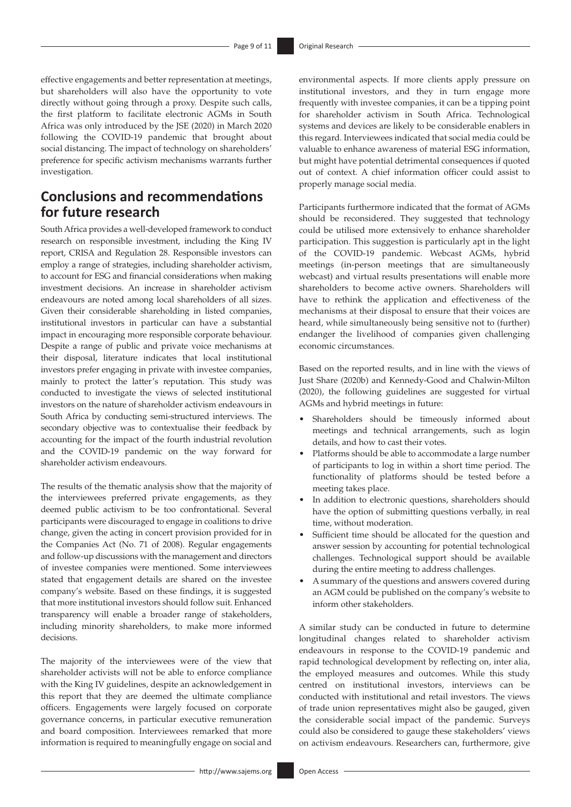effective engagements and better representation at meetings, but shareholders will also have the opportunity to vote directly without going through a proxy. Despite such calls, the first platform to facilitate electronic AGMs in South Africa was only introduced by the JSE (2020) in March 2020 following the COVID-19 pandemic that brought about social distancing. The impact of technology on shareholders' preference for specific activism mechanisms warrants further investigation.

# **Conclusions and recommendations for future research**

South Africa provides a well-developed framework to conduct research on responsible investment, including the King IV report, CRISA and Regulation 28. Responsible investors can employ a range of strategies, including shareholder activism, to account for ESG and financial considerations when making investment decisions. An increase in shareholder activism endeavours are noted among local shareholders of all sizes. Given their considerable shareholding in listed companies, institutional investors in particular can have a substantial impact in encouraging more responsible corporate behaviour. Despite a range of public and private voice mechanisms at their disposal, literature indicates that local institutional investors prefer engaging in private with investee companies, mainly to protect the latter's reputation. This study was conducted to investigate the views of selected institutional investors on the nature of shareholder activism endeavours in South Africa by conducting semi-structured interviews. The secondary objective was to contextualise their feedback by accounting for the impact of the fourth industrial revolution and the COVID-19 pandemic on the way forward for shareholder activism endeavours.

The results of the thematic analysis show that the majority of the interviewees preferred private engagements, as they deemed public activism to be too confrontational. Several participants were discouraged to engage in coalitions to drive change, given the acting in concert provision provided for in the Companies Act (No. 71 of 2008). Regular engagements and follow-up discussions with the management and directors of investee companies were mentioned. Some interviewees stated that engagement details are shared on the investee company's website. Based on these findings, it is suggested that more institutional investors should follow suit. Enhanced transparency will enable a broader range of stakeholders, including minority shareholders, to make more informed decisions.

The majority of the interviewees were of the view that shareholder activists will not be able to enforce compliance with the King IV guidelines, despite an acknowledgement in this report that they are deemed the ultimate compliance officers. Engagements were largely focused on corporate governance concerns, in particular executive remuneration and board composition. Interviewees remarked that more information is required to meaningfully engage on social and

environmental aspects. If more clients apply pressure on institutional investors, and they in turn engage more frequently with investee companies, it can be a tipping point for shareholder activism in South Africa. Technological systems and devices are likely to be considerable enablers in this regard. Interviewees indicated that social media could be valuable to enhance awareness of material ESG information, but might have potential detrimental consequences if quoted out of context. A chief information officer could assist to properly manage social media.

Participants furthermore indicated that the format of AGMs should be reconsidered. They suggested that technology could be utilised more extensively to enhance shareholder participation. This suggestion is particularly apt in the light of the COVID-19 pandemic. Webcast AGMs, hybrid meetings (in-person meetings that are simultaneously webcast) and virtual results presentations will enable more shareholders to become active owners. Shareholders will have to rethink the application and effectiveness of the mechanisms at their disposal to ensure that their voices are heard, while simultaneously being sensitive not to (further) endanger the livelihood of companies given challenging economic circumstances.

Based on the reported results, and in line with the views of Just Share (2020b) and Kennedy-Good and Chalwin-Milton (2020), the following guidelines are suggested for virtual AGMs and hybrid meetings in future:

- Shareholders should be timeously informed about meetings and technical arrangements, such as login details, and how to cast their votes.
- Platforms should be able to accommodate a large number of participants to log in within a short time period. The functionality of platforms should be tested before a meeting takes place.
- In addition to electronic questions, shareholders should have the option of submitting questions verbally, in real time, without moderation.
- Sufficient time should be allocated for the question and answer session by accounting for potential technological challenges. Technological support should be available during the entire meeting to address challenges.
- A summary of the questions and answers covered during an AGM could be published on the company's website to inform other stakeholders.

A similar study can be conducted in future to determine longitudinal changes related to shareholder activism endeavours in response to the COVID-19 pandemic and rapid technological development by reflecting on, inter alia, the employed measures and outcomes. While this study centred on institutional investors, interviews can be conducted with institutional and retail investors. The views of trade union representatives might also be gauged, given the considerable social impact of the pandemic. Surveys could also be considered to gauge these stakeholders' views on activism endeavours. Researchers can, furthermore, give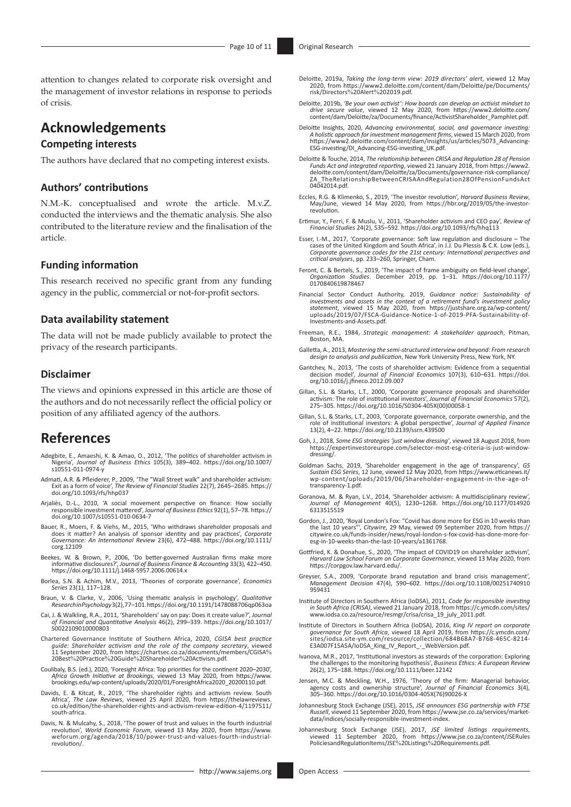attention to changes related to corporate risk oversight and the management of investor relations in response to periods of crisis.

# **Acknowledgements**

### **Competing interests**

The authors have declared that no competing interest exists.

#### **Authors' contributions**

N.M.-K. conceptualised and wrote the article. M.v.Z. conducted the interviews and the thematic analysis. She also contributed to the literature review and the finalisation of the article.

#### **Funding information**

This research received no specific grant from any funding agency in the public, commercial or not-for-profit sectors.

#### **Data availability statement**

The data will not be made publicly available to protect the privacy of the research participants.

### **Disclaimer**

The views and opinions expressed in this article are those of the authors and do not necessarily reflect the official policy or position of any affiliated agency of the authors.

### **References**

- Adegbite, E., Amaeshi, K. & Amao, O., 2012, 'The politics of shareholder activism in Nigeria', *Journal of Business Ethics* 105(3), 389–402. [https://doi.org/10.1007/](https://doi.org/10.1007/s10551-011-0974-y) [s10551-011-0974-y](https://doi.org/10.1007/s10551-011-0974-y)
- Admati, A.R. & Pfleiderer, P., 2009, 'The "Wall Street walk" and shareholder activism: Exit as a form of voice', *The Review of Financial Studies* 22(7), 2645–2685. [https://](https://doi.org/10.1093/rfs/hhp037) [doi.org/10.1093/rfs/hhp037](https://doi.org/10.1093/rfs/hhp037)
- Arjaliès, D.-L., 2010, 'A social movement perspective on finance: How socially responsible investment mattered', *Journal of Business Ethics* 92(1), 57–78. [https://](https://doi.org/10.1007/s10551-010-0634-7) [doi.org/10.1007/s10551-010-0634-7](https://doi.org/10.1007/s10551-010-0634-7)
- Bauer, R., Moers, F. & Viehs, M., 2015, 'Who withdraws shareholder proposals and does it matter? An analysis of sponsor identity and pay practices', *Corporate Governance: An International Review* 23(6), 472–488. [https://doi.org/10.1111/](https://doi.org/10.1111/corg.12109) [corg.12109](https://doi.org/10.1111/corg.12109)
- Beekes, W. & Brown, P., 2006, 'Do better-governed Australian firms make more<br>informative disclosures?', *Journal of Business Finance & Accounting* 33(3), 422–450.<br><https://doi.org/10.1111/j.1468-5957.2006.00614.x>
- Borlea, S.N. & Achim, M.V., 2013, 'Theories of corporate governance', *Economics Series* 23(1), 117–128.
- Braun, V. & Clarke, V., 2006, 'Using thematic analysis in psychology', *Qualitative Research in Psychology* 3(2), 77–101.<https://doi.org/10.1191/1478088706qp063oa>
- Cai, J. & Walkling, R.A., 2011, 'Shareholders' say on pay: Does it create value?', *Journal of Financial and Quantitative Analysis* 46(2), 299–339. [https://doi.org/10.1017/](https://doi.org/10.1017/S0022109010000803) [S0022109010000803](https://doi.org/10.1017/S0022109010000803)
- Chartered Governance Institute of Southern Africa, 2020, *CGISA best practice guide: Shareholder activism and the role of the company secretary*, viewed 11 [September 2020, from https://chartsec.co.za/documents/members/CGISA](https://chartsec.co.za/documents/members/CGISA%20Best%20Practice%20Guide%20Shareholder%20Activism.pdf)% 20Best%20Practice%20Guide%20Shareholder%20Activism.pdf.
- Coulibaly, B.S. (ed.), 2020, 'Foresight Africa: Top priorities for the continent 2020–2030', *Africa Growth Initiative at Brookings*, viewed 13 May 2020, from [https://www.](https://www.brookings.edu/wp-content/uploads/2020/01/ForesightAfrica2020_20200110.pdf) [brookings.edu/wp-content/uploads/2020/01/ForesightAfrica2020\\_20200110.pdf](https://www.brookings.edu/wp-content/uploads/2020/01/ForesightAfrica2020_20200110.pdf).
- Davids, E. & Kitcat, R., 2019, 'The shareholder rights and activism review. South Africa', *The Law Reviews*, viewed 25 April 2020, from [https://thelawreviews.](https://thelawreviews.co.uk/edition/the-shareholder-rights-and-activism-review-edition-4/1197511/south-africa) [co.uk/edition/the-shareholder-rights-and-activism-review-edition-4/1197511/](https://thelawreviews.co.uk/edition/the-shareholder-rights-and-activism-review-edition-4/1197511/south-africa) [south-africa.](https://thelawreviews.co.uk/edition/the-shareholder-rights-and-activism-review-edition-4/1197511/south-africa)
- Davis, N. & Mulcahy, S., 2018, 'The power of trust and values in the fourth industrial revolution', *World Economic Forum*, viewed 13 May 2020, from [https://www.](https://www.weforum.org/agenda/2018/10/power-trust-and-values-fourth-industrial-revolution/) [weforum.org/agenda/2018/10/power-trust-and-values-fourth-industrial](https://www.weforum.org/agenda/2018/10/power-trust-and-values-fourth-industrial-revolution/)[revolution/.](https://www.weforum.org/agenda/2018/10/power-trust-and-values-fourth-industrial-revolution/)
- Deloitte, 2019a, *Taking the long-term view: 2019 directors' alert*, viewed 12 May 2020, from [https://www2.deloitte.com/content/dam/Deloitte/pe/Documents/](https://www2.deloitte.com/content/dam/Deloitte/pe/Documents/risk/Directors%20Alert%202019.pdf) [risk/Directors](https://www2.deloitte.com/content/dam/Deloitte/pe/Documents/risk/Directors%20Alert%202019.pdf)%20Alert%202019.pdf.
- Deloitte, 2019b, *'Be your own activist': How boards can develop an activist mindset to drive secure value*, viewed 12 May 2020, from [https://www2.deloitte.com/](https://www2.deloitte.com/content/dam/Deloitte/za/Documents/finance/ActivistShareholder_Pamphlet.pdf) [content/dam/Deloitte/za/Documents/finance/ActivistShareholder\\_Pamphlet.pdf.](https://www2.deloitte.com/content/dam/Deloitte/za/Documents/finance/ActivistShareholder_Pamphlet.pdf)
- Deloitte Insights, 2020, *Advancing environmental, social, and governance investing: A holistic approach for investment management firms*, viewed 15 March 2020, from [https://www2.deloitte.com/content/dam/insights/us/articles/5073\\_Advancing-](https://www2.deloitte.com/content/dam/insights/us/articles/5073_Advancing-ESG-investing/DI_Advancing-ESG-investing_UK.pdf)[ESG-investing/DI\\_Advancing-ESG-investing\\_UK.pdf](https://www2.deloitte.com/content/dam/insights/us/articles/5073_Advancing-ESG-investing/DI_Advancing-ESG-investing_UK.pdf).
- Deloitte & Touche, 2014, *The relationship between CRISA and Regulation 28 of Pension Funds Act and integrated reporting*, viewed 21 January 2018, from [https://www2.](https://www2.deloitte.com/content/dam/Deloitte/za/Documents/governance-risk-compliance/ZA_TheRelationshipBetweenCRISAAndRegulation28OfPensionFundsAct04042014.pdf) [deloitte.com/content/dam/Deloitte/za/Documents/governance-risk-compliance/](https://www2.deloitte.com/content/dam/Deloitte/za/Documents/governance-risk-compliance/ZA_TheRelationshipBetweenCRISAAndRegulation28OfPensionFundsAct04042014.pdf) [ZA\\_TheRelationshipBetweenCRISAAndRegulation28OfPensionFundsAct](https://www2.deloitte.com/content/dam/Deloitte/za/Documents/governance-risk-compliance/ZA_TheRelationshipBetweenCRISAAndRegulation28OfPensionFundsAct04042014.pdf) [04042014.pdf.](https://www2.deloitte.com/content/dam/Deloitte/za/Documents/governance-risk-compliance/ZA_TheRelationshipBetweenCRISAAndRegulation28OfPensionFundsAct04042014.pdf)
- Eccles, R.G. & Klimenko, S., 2019, 'The investor revolution', *Harvard Business Review*, May/June, viewed 14 May 2020, from [https://hbr.org/2019/05/the-investor](https://hbr.org/2019/05/the-investor-revolution)[revolution](https://hbr.org/2019/05/the-investor-revolution).
- Ertimur, Y., Ferri, F. & Muslu, V., 2011, 'Shareholder activism and CEO pay', *Review of Financial Studies* 24(2), 535–592.<https://doi.org/10.1093/rfs/hhq113>
- Esser, I.-M., 2017, 'Corporate governance: Soft law regulation and disclosure The<br>cases of the United Kingdom and South Africa', in J.J. Du Plessis & C.K. Low (eds.),<br>Corporate governance codes for the 21st century: Inte *critical analyses*, pp. 233–260, Springer, Cham.
- Feront, C. & Bertels, S., 2019, 'The impact of frame ambiguity on field-level change', *Organization Studies*. December 2019, pp. 1–31. [https://doi.org/10.1177/](https://doi.org/10.1177/0170840619878467) [0170840619878467](https://doi.org/10.1177/0170840619878467)
- Financial Sector Conduct Authority, 2019, *Guidance notice: Sustainability of investments and assets in the context of a retirement fund's investment policy statement*, viewed 15 May 2020, from [https://justshare.org.za/wp-content/](https://justshare.org.za/wp-content/uploads/2019/07/FSCA-Guidance-Notice-1-of-2019-PFA-Sustainability-of-Investments-and-Assets.pdf) [uploads/2019/07/FSCA-Guidance-Notice-1-of-2019-PFA-Sustainability-of-](https://justshare.org.za/wp-content/uploads/2019/07/FSCA-Guidance-Notice-1-of-2019-PFA-Sustainability-of-Investments-and-Assets.pdf)[Investments-and-Assets.pdf.](https://justshare.org.za/wp-content/uploads/2019/07/FSCA-Guidance-Notice-1-of-2019-PFA-Sustainability-of-Investments-and-Assets.pdf)
- Freeman, R.E., 1984, *Strategic management: A stakeholder approach*, Pitman, Boston, MA.
- Galletta, A., 2013, *Mastering the semi-structured interview and beyond: From research design to analysis and publication*, New York University Press, New York, NY.
- Gantchev, N., 2013, 'The costs of shareholder activism: Evidence from a sequential decision model', *Journal of Financial Economics* 107(3), 610–631. [https://doi.](https://doi.org/10.1016/j.jfineco.2012.09.007) [org/10.1016/j.jfineco.2012.09.007](https://doi.org/10.1016/j.jfineco.2012.09.007)
- Gillan, S.L. & Starks, L.T., 2000, 'Corporate governance proposals and shareholder activism: The role of institutional investors', *Journal of Financial Economics* 57(2), 275–305. [https://doi.org/10.1016/S0304-405X\(00\)00058-1](https://doi.org/10.1016/S0304-405X(00)00058-1)
- Gillan, S.L. & Starks, L.T., 2003, 'Corporate governance, corporate ownership, and the role of institutional investors: A global perspective', *Journal of Applied Finance* 13(2), 4–22. <https://doi.org/10.2139/ssrn.439500>
- Goh, J., 2018, *Some ESG strategies 'just window dressing'*, viewed 18 August 2018, from [https://expertinvestoreurope.com/selector-most-esg-criteria-is-just-window](https://expertinvestoreurope.com/selector-most-esg-criteria-is-just-window-dressing/)[dressing/.](https://expertinvestoreurope.com/selector-most-esg-criteria-is-just-window-dressing/)
- Goldman Sachs, 2019, 'Shareholder engagement in the age of transparency', *GS Sustain ESG Series*, 12 June, viewed 12 May 2020, from [https://www.eticanews.it/](https://www.eticanews.it/wp-content/uploads/2019/06/Shareholder-engagement-in-the-age-of-transparency-1.pdf) [wp-content/uploads/2019/06/Shareholder-engagement-in-the-age-of](https://www.eticanews.it/wp-content/uploads/2019/06/Shareholder-engagement-in-the-age-of-transparency-1.pdf)[transparency-1.pdf.](https://www.eticanews.it/wp-content/uploads/2019/06/Shareholder-engagement-in-the-age-of-transparency-1.pdf)
- Goranova, M. & Ryan, L.V., 2014, 'Shareholder activism: A multidisciplinary review', *Journal of Management* 40(5), 1230–1268. [https://doi.org/10.1177/014920](https://doi.org/10.1177/0149206313515519) [6313515519](https://doi.org/10.1177/0149206313515519)
- Gordon, J., 2020, 'Royal London's Fox: "Covid has done more for ESG in 10 weeks than the last 10 years"', *Citywire*, 29 May, viewed 09 September 2020, from [https://](https://citywire.co.uk/funds-insider/news/royal-london-s-fox-covid-has-done-more-for-esg-in-10-weeks-than-the-last-10-years/a1361768) [citywire.co.uk/funds-insider/news/royal-london-s-fox-covid-has-done-more-for-](https://citywire.co.uk/funds-insider/news/royal-london-s-fox-covid-has-done-more-for-esg-in-10-weeks-than-the-last-10-years/a1361768)[esg-in-10-weeks-than-the-last-10-years/a1361768](https://citywire.co.uk/funds-insider/news/royal-london-s-fox-covid-has-done-more-for-esg-in-10-weeks-than-the-last-10-years/a1361768).
- Gottfried, K. & Donahue, S., 2020, 'The impact of COVID19 on shareholder activism', *Harvard Law School Forum on Corporate Governance*, viewed 13 May 2020, from <https://corpgov.law.harvard.edu/>.
- Greyser, S.A., 2009, 'Corporate brand reputation and brand crisis management', *Management Decision* 47(4), 590–602. [https://doi.org/10.1108/00251740910](https://doi.org/10.1108/00251740910959431) [959431](https://doi.org/10.1108/00251740910959431)
- Institute of Directors in Southern Africa (IoDSA), 2011, *Code for responsible investing in South Africa (CRISA)*, viewed 21 January 2018, from [https://c.ymcdn.com/sites/](https://c.ymcdn.com/sites/www.iodsa.co.za/resource/resmgr/crisa/crisa_19_july_2011.pdf) [www.iodsa.co.za/resource/resmgr/crisa/crisa\\_19\\_july\\_2011.pdf.](https://c.ymcdn.com/sites/www.iodsa.co.za/resource/resmgr/crisa/crisa_19_july_2011.pdf)
- Institute of Directors in Southern Africa (IoDSA), 2016, *King IV report on corporate governance for South Africa*, viewed 18 April 2019, from [https://c.ymcdn.com/](https://c.ymcdn.com/sites/iodsa.site-ym.com/resource/collection/684B68A7-B768-465C-8214-E3A007F15A5A/IoDSA_King_IV_Report_-_WebVersion.pdf) [sites/iodsa.site-ym.com/resource/collection/684B68A7-B768-465C-8214-](https://c.ymcdn.com/sites/iodsa.site-ym.com/resource/collection/684B68A7-B768-465C-8214-E3A007F15A5A/IoDSA_King_IV_Report_-_WebVersion.pdf) [E3A007F15A5A/IoDSA\\_King\\_IV\\_Report\\_-\\_WebVersion.pdf](https://c.ymcdn.com/sites/iodsa.site-ym.com/resource/collection/684B68A7-B768-465C-8214-E3A007F15A5A/IoDSA_King_IV_Report_-_WebVersion.pdf).
- Ivanova, M.R., 2017, 'Institutional investors as stewards of the corporation: Exploring the challenges to the monitoring hypothesis', *Business Ethics: A European Review* 26(2), 175–188.<https://doi.org/10.1111/beer.12142>
- Jensen, M.C. & Meckling, W.H., 1976, 'Theory of the firm: Managerial behavior, agency costs and ownership structure', *Journal of Financial Economics* 3(4), 305–360. [https://doi.org/10.1016/0304-405X\(76\)90026-X](https://doi.org/10.1016/0304-405X(76)90026-X)
- Johannesburg Stock Exchange (JSE), 2015, *JSE announces ESG partnership with FTSE Russell*, viewed 11 September 2020, from [https://www.jse.co.za/services/market-](https://www.jse.co.za/services/market-data/indices/socially-responsible-investment-index)[data/indices/socially-responsible-investment-index](https://www.jse.co.za/services/market-data/indices/socially-responsible-investment-index).
- Johannesburg Stock Exchange (JSE), 2017, *JSE limited listings requirements*, viewed 11 September 2020, from [https://www.jse.co.za/content/JSERules](https://www.jse.co.za/content/JSERules PoliciesandRegulationItems/JSE%20Listings%20Requirements.pdf) [PoliciesandRegulationItems/JSE](https://www.jse.co.za/content/JSERules PoliciesandRegulationItems/JSE%20Listings%20Requirements.pdf)%20Listings%20Requirements.pdf.